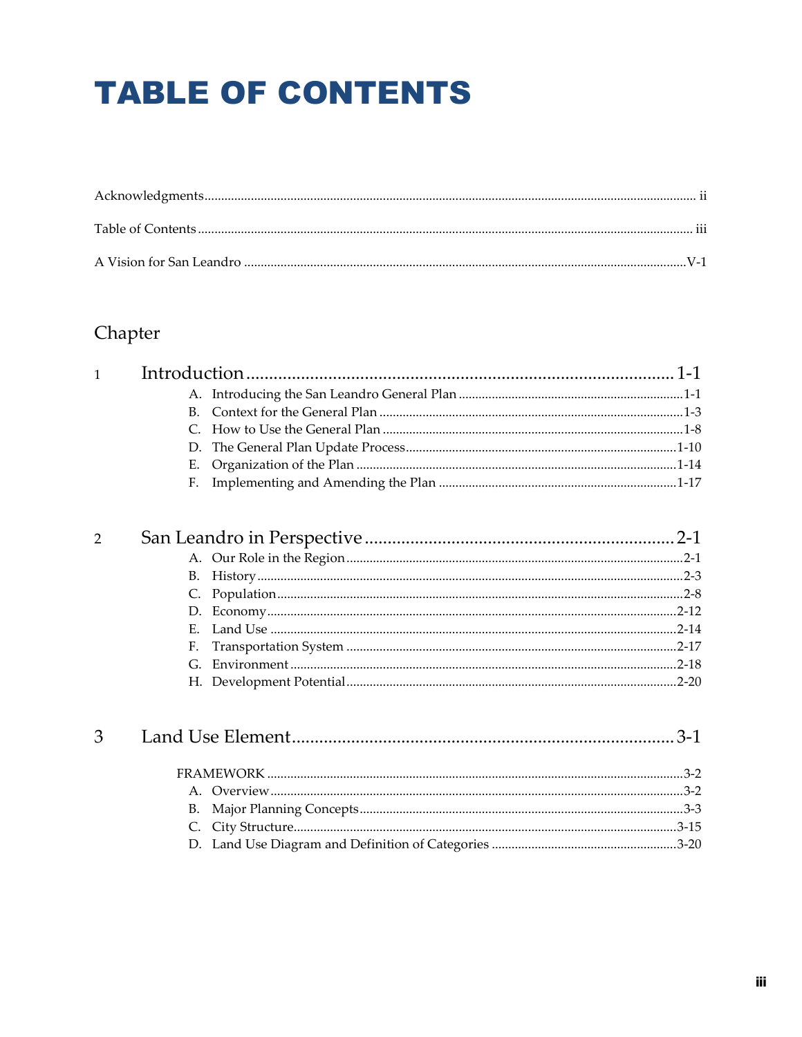# **TABLE OF CONTENTS**

## Chapter

| 1              |                |       |
|----------------|----------------|-------|
|                |                |       |
|                | B <sub>1</sub> |       |
|                |                |       |
|                | D.             |       |
|                | Е.             |       |
|                | F.             |       |
| $\overline{2}$ |                |       |
|                |                |       |
|                |                |       |
|                | B.             |       |
|                |                |       |
|                | D.             |       |
|                | Е.             |       |
|                | F.             |       |
|                | G.             |       |
|                |                |       |
|                |                |       |
| 3              |                | $3-1$ |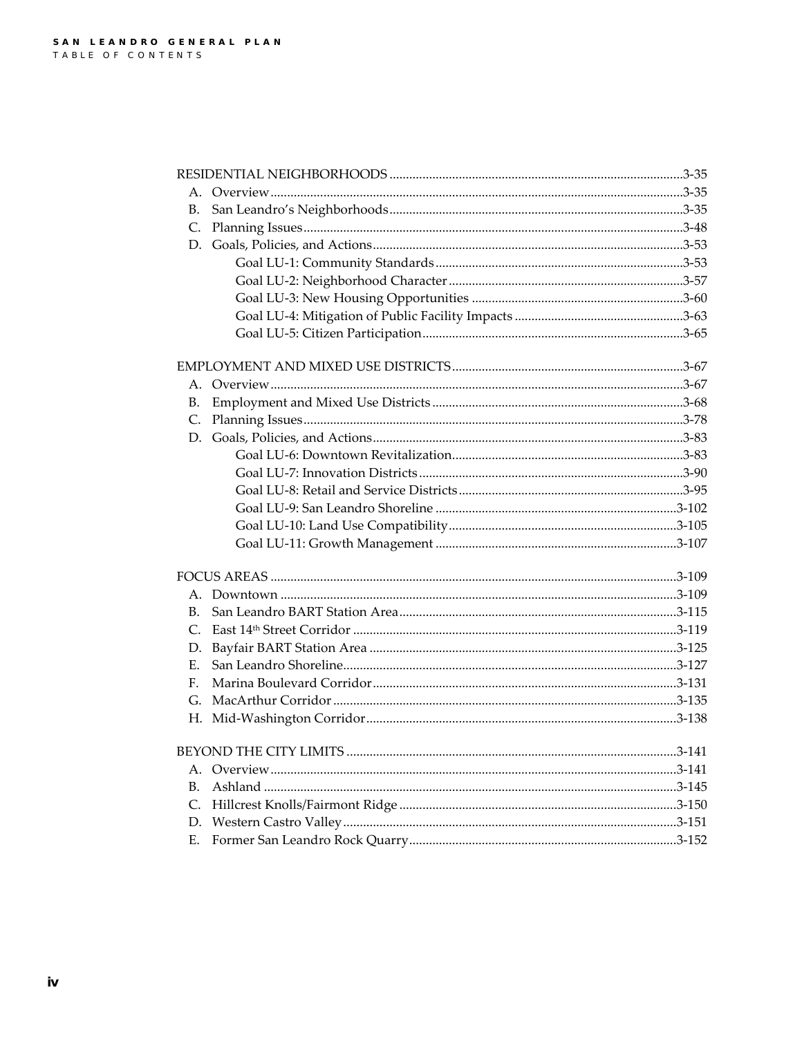| В. |                               |        |
|----|-------------------------------|--------|
| C. |                               |        |
|    |                               |        |
|    |                               |        |
|    |                               |        |
|    |                               |        |
|    |                               |        |
|    |                               |        |
|    |                               |        |
|    |                               |        |
| В. |                               |        |
| C. |                               |        |
| D. |                               |        |
|    |                               |        |
|    |                               |        |
|    |                               |        |
|    |                               |        |
|    |                               |        |
|    |                               |        |
|    |                               |        |
|    |                               |        |
| B. |                               |        |
| C. |                               |        |
| D. |                               |        |
| Е. |                               |        |
| F. |                               |        |
| G. |                               |        |
|    |                               |        |
|    | <b>BEYOND THE CITY LIMITS</b> | 3-141. |
|    |                               |        |
| В. |                               |        |
| C. |                               |        |
| D. |                               |        |
| Ε. |                               |        |
|    |                               |        |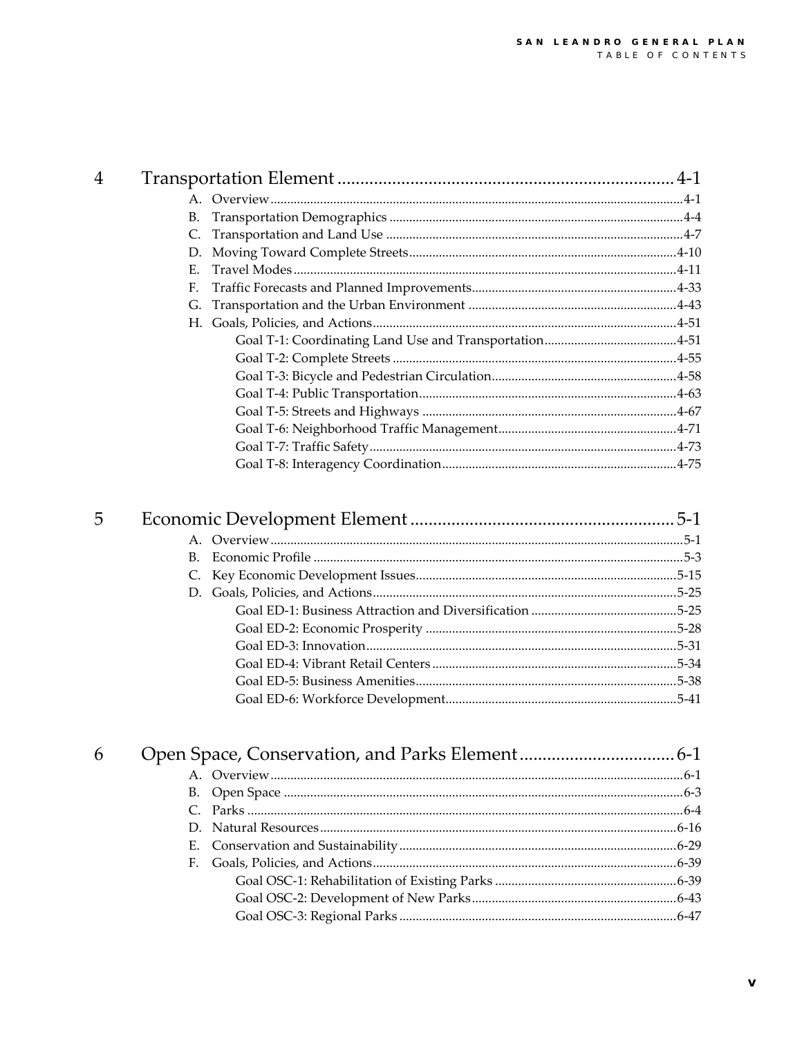| 4 |    |  |
|---|----|--|
|   |    |  |
|   | В. |  |
|   | C. |  |
|   | D. |  |
|   | Е. |  |
|   | F. |  |
|   |    |  |
|   |    |  |
|   |    |  |
|   |    |  |
|   |    |  |
|   |    |  |
|   |    |  |
|   |    |  |
|   |    |  |
|   |    |  |

| 5 |  |
|---|--|
|   |  |
|   |  |
|   |  |
|   |  |
|   |  |
|   |  |
|   |  |
|   |  |
|   |  |
|   |  |
|   |  |

| 6 |  |  |
|---|--|--|
|   |  |  |
|   |  |  |
|   |  |  |
|   |  |  |
|   |  |  |
|   |  |  |
|   |  |  |
|   |  |  |
|   |  |  |
|   |  |  |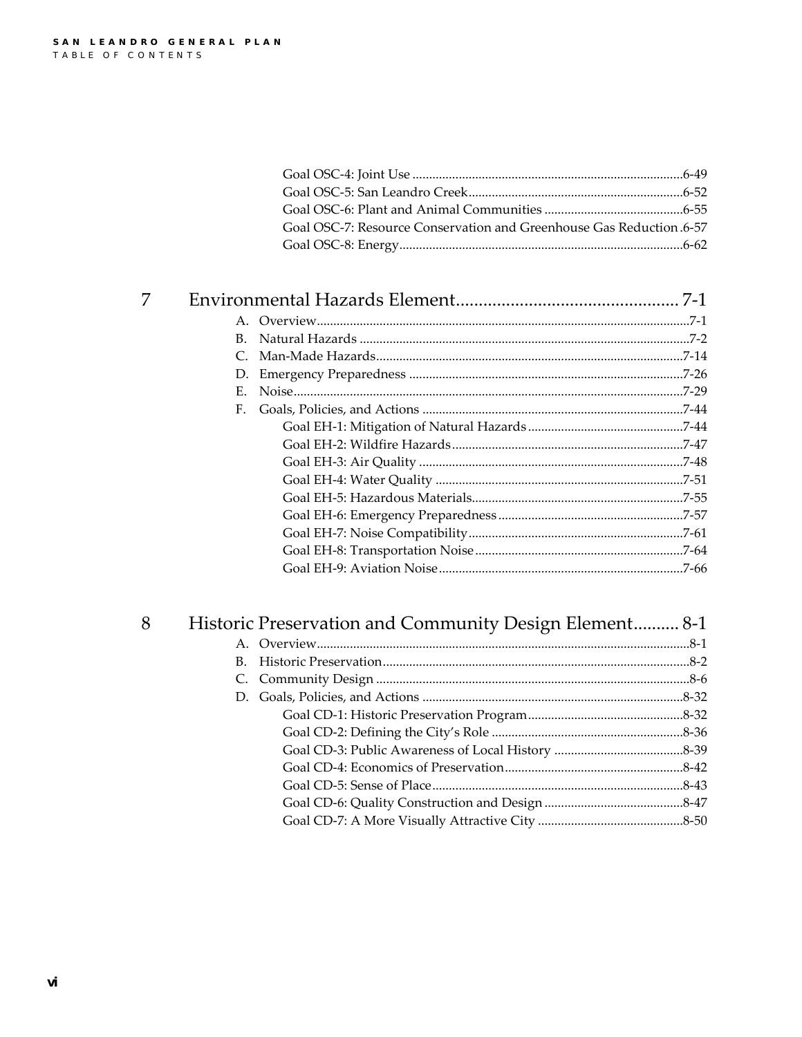$\boldsymbol{7}$ 

| Goal OSC-7: Resource Conservation and Greenhouse Gas Reduction 6-57 |  |
|---------------------------------------------------------------------|--|
|                                                                     |  |

| D. |  |
|----|--|
| Е. |  |
| F. |  |
|    |  |
|    |  |
|    |  |
|    |  |
|    |  |
|    |  |
|    |  |
|    |  |
|    |  |

# $\boldsymbol{8}$

|             | Historic Preservation and Community Design Element 8-1 |  |
|-------------|--------------------------------------------------------|--|
|             |                                                        |  |
| $B_{\cdot}$ |                                                        |  |
|             |                                                        |  |
|             |                                                        |  |
|             |                                                        |  |
|             |                                                        |  |
|             |                                                        |  |
|             |                                                        |  |
|             |                                                        |  |
|             |                                                        |  |
|             |                                                        |  |
|             |                                                        |  |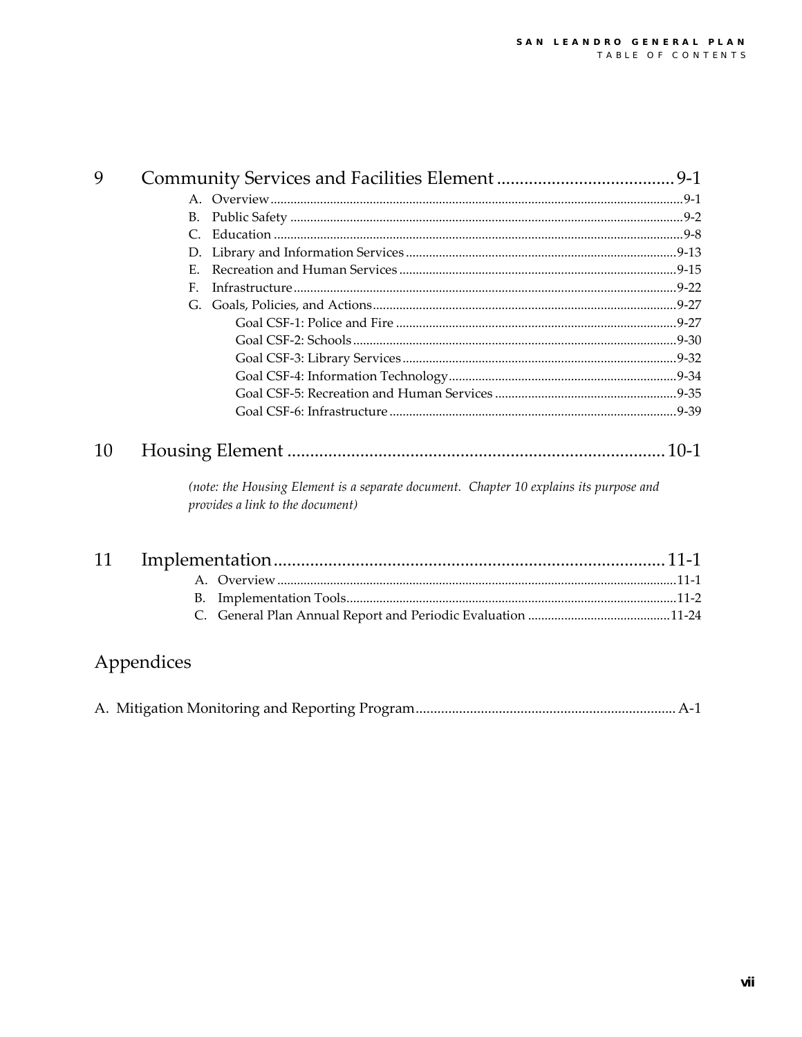| 9  |                                                                                                                            |      |
|----|----------------------------------------------------------------------------------------------------------------------------|------|
|    |                                                                                                                            |      |
|    | <b>B.</b>                                                                                                                  |      |
|    | C.                                                                                                                         |      |
|    | D.                                                                                                                         |      |
|    | Е.                                                                                                                         |      |
|    | F.                                                                                                                         |      |
|    | G.                                                                                                                         |      |
|    |                                                                                                                            |      |
|    |                                                                                                                            |      |
|    |                                                                                                                            |      |
|    |                                                                                                                            |      |
|    |                                                                                                                            |      |
|    |                                                                                                                            |      |
| 10 |                                                                                                                            |      |
|    | (note: the Housing Element is a separate document. Chapter 10 explains its purpose and<br>provides a link to the document) |      |
| 11 | Implamentation                                                                                                             | 11 1 |

## Appendices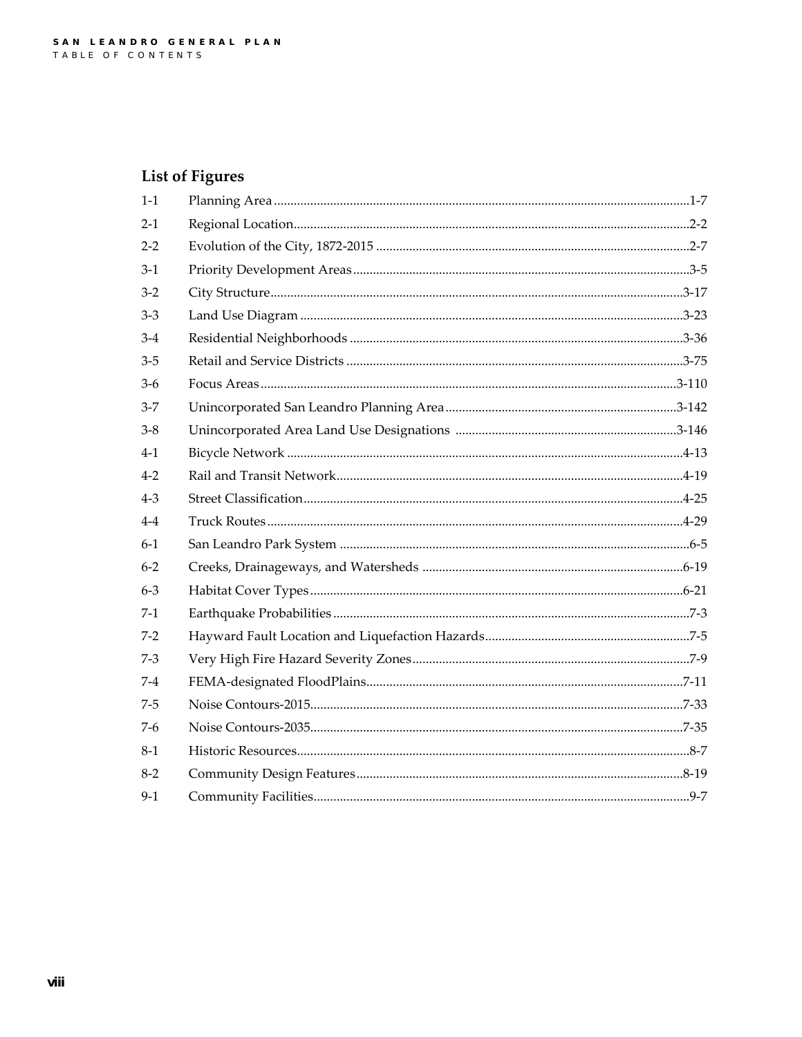#### **List of Figures**

| $1-1$   |  |
|---------|--|
| $2 - 1$ |  |
| $2 - 2$ |  |
| $3-1$   |  |
| $3-2$   |  |
| $3-3$   |  |
| $3-4$   |  |
| $3-5$   |  |
| $3-6$   |  |
| $3 - 7$ |  |
| $3-8$   |  |
| $4 - 1$ |  |
| $4 - 2$ |  |
| $4 - 3$ |  |
| $4 - 4$ |  |
| $6-1$   |  |
| $6 - 2$ |  |
| $6 - 3$ |  |
| $7-1$   |  |
| $7 - 2$ |  |
| $7-3$   |  |
| 7-4     |  |
| $7-5$   |  |
| $7-6$   |  |
| $8-1$   |  |
| $8-2$   |  |
| $9-1$   |  |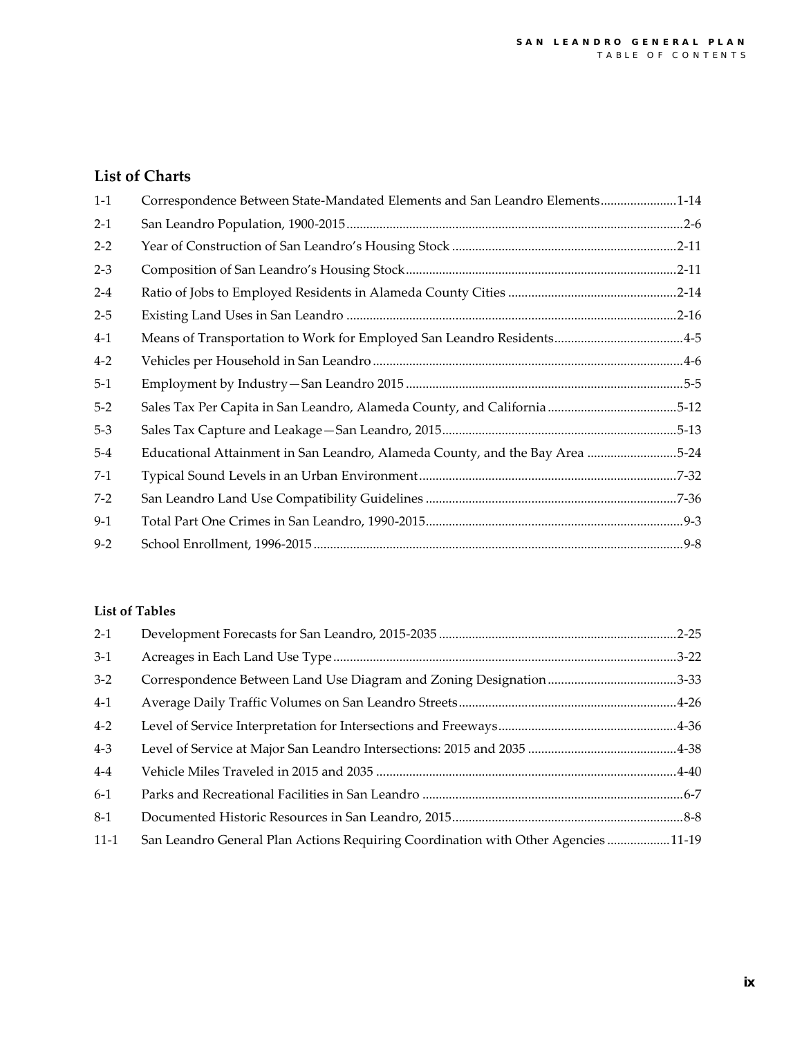#### **List of Charts**

| $1 - 1$ | Correspondence Between State-Mandated Elements and San Leandro Elements1-14  |  |
|---------|------------------------------------------------------------------------------|--|
| $2 - 1$ |                                                                              |  |
| $2 - 2$ |                                                                              |  |
| $2 - 3$ |                                                                              |  |
| $2 - 4$ |                                                                              |  |
| $2 - 5$ |                                                                              |  |
| $4 - 1$ | Means of Transportation to Work for Employed San Leandro Residents4-5        |  |
| $4 - 2$ |                                                                              |  |
| $5-1$   |                                                                              |  |
| $5 - 2$ | Sales Tax Per Capita in San Leandro, Alameda County, and California 5-12     |  |
| $5-3$   |                                                                              |  |
| $5-4$   | Educational Attainment in San Leandro, Alameda County, and the Bay Area 5-24 |  |
| $7-1$   |                                                                              |  |
| $7-2$   |                                                                              |  |
| $9-1$   |                                                                              |  |
| $9 - 2$ |                                                                              |  |

#### **List of Tables**

| $2 - 1$ |                                                                                   |  |
|---------|-----------------------------------------------------------------------------------|--|
| $3-1$   |                                                                                   |  |
| $3-2$   |                                                                                   |  |
| $4-1$   |                                                                                   |  |
| $4 - 2$ |                                                                                   |  |
| $4 - 3$ |                                                                                   |  |
| $4-4$   |                                                                                   |  |
| $6-1$   |                                                                                   |  |
| $8-1$   |                                                                                   |  |
| $11-1$  | San Leandro General Plan Actions Requiring Coordination with Other Agencies 11-19 |  |